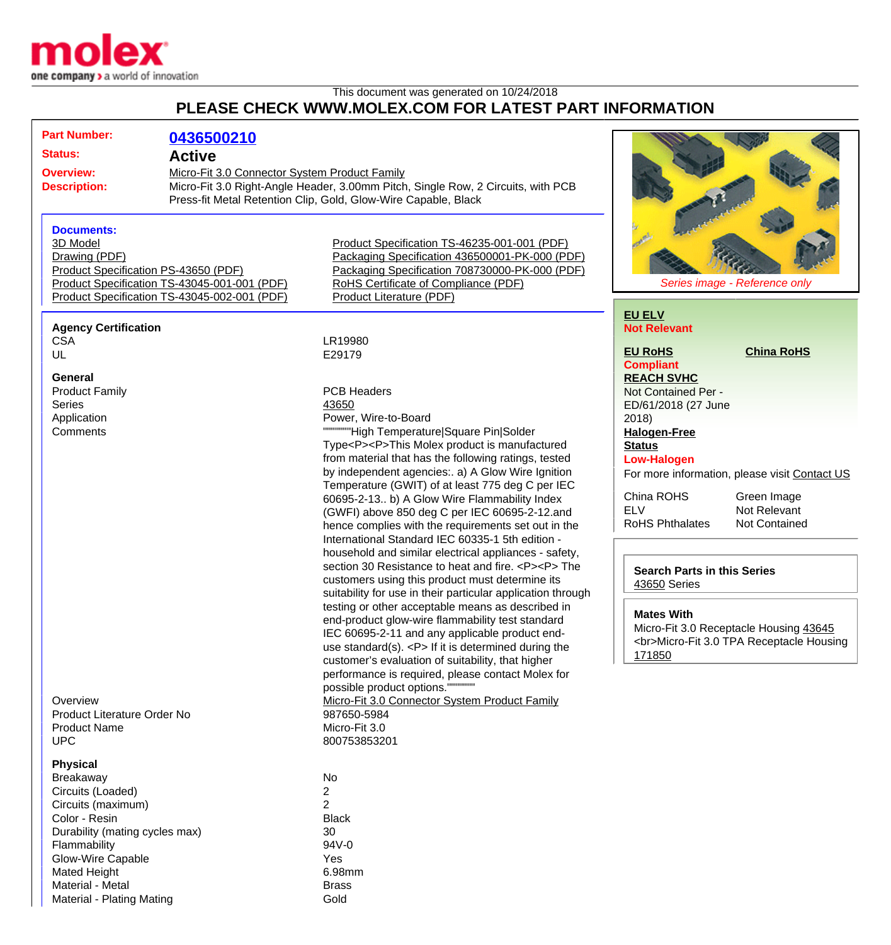

## This document was generated on 10/24/2018 **PLEASE CHECK WWW.MOLEX.COM FOR LATEST PART INFORMATION**

| <b>Active</b><br><b>Overview:</b><br>Micro-Fit 3.0 Connector System Product Family<br>Micro-Fit 3.0 Right-Angle Header, 3.00mm Pitch, Single Row, 2 Circuits, with PCB<br><b>Description:</b><br>Press-fit Metal Retention Clip, Gold, Glow-Wire Capable, Black<br><b>Documents:</b><br>3D Model<br>Product Specification TS-46235-001-001 (PDF)<br>Packaging Specification 436500001-PK-000 (PDF)<br>Drawing (PDF)<br>Packaging Specification 708730000-PK-000 (PDF)<br>Product Specification PS-43650 (PDF)<br>Product Specification TS-43045-001-001 (PDF)<br>RoHS Certificate of Compliance (PDF)<br>Series image - Reference only<br>Product Specification TS-43045-002-001 (PDF)<br>Product Literature (PDF)<br><b>EU ELV</b><br><b>Agency Certification</b><br><b>Not Relevant</b><br><b>CSA</b><br>LR19980<br><b>EU RoHS</b><br><b>China RoHS</b><br>UL<br>E29179<br><b>Compliant</b><br>General<br><b>REACH SVHC</b><br><b>PCB Headers</b><br><b>Product Family</b><br>Not Contained Per -<br><b>Series</b><br>43650<br>ED/61/2018 (27 June<br>Power, Wire-to-Board<br>Application<br>2018<br>""""""High Temperature Square Pin Solder<br>Comments<br><b>Halogen-Free</b><br>Type <p><p>This Molex product is manufactured<br/><b>Status</b><br/>from material that has the following ratings, tested<br/><b>Low-Halogen</b><br/>by independent agencies:. a) A Glow Wire Ignition<br/>For more information, please visit Contact US<br/>Temperature (GWIT) of at least 775 deg C per IEC<br/>China ROHS<br/>Green Image<br/>60695-2-13 b) A Glow Wire Flammability Index<br/><b>ELV</b><br/>Not Relevant<br/>(GWFI) above 850 deg C per IEC 60695-2-12.and<br/><b>RoHS Phthalates</b><br/><b>Not Contained</b><br/>hence complies with the requirements set out in the<br/>International Standard IEC 60335-1 5th edition -<br/>household and similar electrical appliances - safety,<br/>section 30 Resistance to heat and fire. <p><p> The<br/><b>Search Parts in this Series</b><br/>customers using this product must determine its<br/>43650 Series<br/>suitability for use in their particular application through<br/>testing or other acceptable means as described in<br/><b>Mates With</b><br/>end-product glow-wire flammability test standard<br/>Micro-Fit 3.0 Receptacle Housing 43645<br/>IEC 60695-2-11 and any applicable product end-<br/><br/>Micro-Fit 3.0 TPA Receptacle Housing<br/>use standard(s). <math>&lt;</math>P<math>&gt;</math> If it is determined during the<br/>171850<br/>customer's evaluation of suitability, that higher<br/>performance is required, please contact Molex for<br/>possible product options."""""""<br/>Micro-Fit 3.0 Connector System Product Family<br/>Overview<br/>Product Literature Order No<br/>987650-5984<br/>Micro-Fit 3.0<br/><b>Product Name</b><br/><b>UPC</b><br/>800753853201<br/><b>Physical</b><br/>No<br/><b>Breakaway</b><br/>2<br/>Circuits (Loaded)<br/><math>\overline{2}</math><br/>Circuits (maximum)<br/>Color - Resin<br/><b>Black</b><br/>Durability (mating cycles max)<br/>30<br/>94V-0<br/>Flammability<br/><b>Glow-Wire Capable</b><br/>Yes<br/>6.98mm<br/><b>Mated Height</b><br/>Material - Metal<br/><b>Brass</b><br/><b>Material - Plating Mating</b></p></p></p></p> | <b>Part Number:</b> | 0436500210 |      |  |
|--------------------------------------------------------------------------------------------------------------------------------------------------------------------------------------------------------------------------------------------------------------------------------------------------------------------------------------------------------------------------------------------------------------------------------------------------------------------------------------------------------------------------------------------------------------------------------------------------------------------------------------------------------------------------------------------------------------------------------------------------------------------------------------------------------------------------------------------------------------------------------------------------------------------------------------------------------------------------------------------------------------------------------------------------------------------------------------------------------------------------------------------------------------------------------------------------------------------------------------------------------------------------------------------------------------------------------------------------------------------------------------------------------------------------------------------------------------------------------------------------------------------------------------------------------------------------------------------------------------------------------------------------------------------------------------------------------------------------------------------------------------------------------------------------------------------------------------------------------------------------------------------------------------------------------------------------------------------------------------------------------------------------------------------------------------------------------------------------------------------------------------------------------------------------------------------------------------------------------------------------------------------------------------------------------------------------------------------------------------------------------------------------------------------------------------------------------------------------------------------------------------------------------------------------------------------------------------------------------------------------------------------------------------------------------------------------------------------------------------------------------------------------------------------------------------------------------------------------------------------------------------------------------------------------------------------------------------------------------------------------------------------------------------------------------------------------------------------------------------------------------------------------------------------------------------------------------------------------------------------------------------------------|---------------------|------------|------|--|
|                                                                                                                                                                                                                                                                                                                                                                                                                                                                                                                                                                                                                                                                                                                                                                                                                                                                                                                                                                                                                                                                                                                                                                                                                                                                                                                                                                                                                                                                                                                                                                                                                                                                                                                                                                                                                                                                                                                                                                                                                                                                                                                                                                                                                                                                                                                                                                                                                                                                                                                                                                                                                                                                                                                                                                                                                                                                                                                                                                                                                                                                                                                                                                                                                                                                          | <b>Status:</b>      |            |      |  |
|                                                                                                                                                                                                                                                                                                                                                                                                                                                                                                                                                                                                                                                                                                                                                                                                                                                                                                                                                                                                                                                                                                                                                                                                                                                                                                                                                                                                                                                                                                                                                                                                                                                                                                                                                                                                                                                                                                                                                                                                                                                                                                                                                                                                                                                                                                                                                                                                                                                                                                                                                                                                                                                                                                                                                                                                                                                                                                                                                                                                                                                                                                                                                                                                                                                                          |                     |            |      |  |
|                                                                                                                                                                                                                                                                                                                                                                                                                                                                                                                                                                                                                                                                                                                                                                                                                                                                                                                                                                                                                                                                                                                                                                                                                                                                                                                                                                                                                                                                                                                                                                                                                                                                                                                                                                                                                                                                                                                                                                                                                                                                                                                                                                                                                                                                                                                                                                                                                                                                                                                                                                                                                                                                                                                                                                                                                                                                                                                                                                                                                                                                                                                                                                                                                                                                          |                     |            |      |  |
|                                                                                                                                                                                                                                                                                                                                                                                                                                                                                                                                                                                                                                                                                                                                                                                                                                                                                                                                                                                                                                                                                                                                                                                                                                                                                                                                                                                                                                                                                                                                                                                                                                                                                                                                                                                                                                                                                                                                                                                                                                                                                                                                                                                                                                                                                                                                                                                                                                                                                                                                                                                                                                                                                                                                                                                                                                                                                                                                                                                                                                                                                                                                                                                                                                                                          |                     |            |      |  |
|                                                                                                                                                                                                                                                                                                                                                                                                                                                                                                                                                                                                                                                                                                                                                                                                                                                                                                                                                                                                                                                                                                                                                                                                                                                                                                                                                                                                                                                                                                                                                                                                                                                                                                                                                                                                                                                                                                                                                                                                                                                                                                                                                                                                                                                                                                                                                                                                                                                                                                                                                                                                                                                                                                                                                                                                                                                                                                                                                                                                                                                                                                                                                                                                                                                                          |                     |            |      |  |
|                                                                                                                                                                                                                                                                                                                                                                                                                                                                                                                                                                                                                                                                                                                                                                                                                                                                                                                                                                                                                                                                                                                                                                                                                                                                                                                                                                                                                                                                                                                                                                                                                                                                                                                                                                                                                                                                                                                                                                                                                                                                                                                                                                                                                                                                                                                                                                                                                                                                                                                                                                                                                                                                                                                                                                                                                                                                                                                                                                                                                                                                                                                                                                                                                                                                          |                     |            |      |  |
|                                                                                                                                                                                                                                                                                                                                                                                                                                                                                                                                                                                                                                                                                                                                                                                                                                                                                                                                                                                                                                                                                                                                                                                                                                                                                                                                                                                                                                                                                                                                                                                                                                                                                                                                                                                                                                                                                                                                                                                                                                                                                                                                                                                                                                                                                                                                                                                                                                                                                                                                                                                                                                                                                                                                                                                                                                                                                                                                                                                                                                                                                                                                                                                                                                                                          |                     |            |      |  |
|                                                                                                                                                                                                                                                                                                                                                                                                                                                                                                                                                                                                                                                                                                                                                                                                                                                                                                                                                                                                                                                                                                                                                                                                                                                                                                                                                                                                                                                                                                                                                                                                                                                                                                                                                                                                                                                                                                                                                                                                                                                                                                                                                                                                                                                                                                                                                                                                                                                                                                                                                                                                                                                                                                                                                                                                                                                                                                                                                                                                                                                                                                                                                                                                                                                                          |                     |            |      |  |
|                                                                                                                                                                                                                                                                                                                                                                                                                                                                                                                                                                                                                                                                                                                                                                                                                                                                                                                                                                                                                                                                                                                                                                                                                                                                                                                                                                                                                                                                                                                                                                                                                                                                                                                                                                                                                                                                                                                                                                                                                                                                                                                                                                                                                                                                                                                                                                                                                                                                                                                                                                                                                                                                                                                                                                                                                                                                                                                                                                                                                                                                                                                                                                                                                                                                          |                     |            |      |  |
|                                                                                                                                                                                                                                                                                                                                                                                                                                                                                                                                                                                                                                                                                                                                                                                                                                                                                                                                                                                                                                                                                                                                                                                                                                                                                                                                                                                                                                                                                                                                                                                                                                                                                                                                                                                                                                                                                                                                                                                                                                                                                                                                                                                                                                                                                                                                                                                                                                                                                                                                                                                                                                                                                                                                                                                                                                                                                                                                                                                                                                                                                                                                                                                                                                                                          |                     |            |      |  |
|                                                                                                                                                                                                                                                                                                                                                                                                                                                                                                                                                                                                                                                                                                                                                                                                                                                                                                                                                                                                                                                                                                                                                                                                                                                                                                                                                                                                                                                                                                                                                                                                                                                                                                                                                                                                                                                                                                                                                                                                                                                                                                                                                                                                                                                                                                                                                                                                                                                                                                                                                                                                                                                                                                                                                                                                                                                                                                                                                                                                                                                                                                                                                                                                                                                                          |                     |            |      |  |
|                                                                                                                                                                                                                                                                                                                                                                                                                                                                                                                                                                                                                                                                                                                                                                                                                                                                                                                                                                                                                                                                                                                                                                                                                                                                                                                                                                                                                                                                                                                                                                                                                                                                                                                                                                                                                                                                                                                                                                                                                                                                                                                                                                                                                                                                                                                                                                                                                                                                                                                                                                                                                                                                                                                                                                                                                                                                                                                                                                                                                                                                                                                                                                                                                                                                          |                     |            |      |  |
|                                                                                                                                                                                                                                                                                                                                                                                                                                                                                                                                                                                                                                                                                                                                                                                                                                                                                                                                                                                                                                                                                                                                                                                                                                                                                                                                                                                                                                                                                                                                                                                                                                                                                                                                                                                                                                                                                                                                                                                                                                                                                                                                                                                                                                                                                                                                                                                                                                                                                                                                                                                                                                                                                                                                                                                                                                                                                                                                                                                                                                                                                                                                                                                                                                                                          |                     |            |      |  |
|                                                                                                                                                                                                                                                                                                                                                                                                                                                                                                                                                                                                                                                                                                                                                                                                                                                                                                                                                                                                                                                                                                                                                                                                                                                                                                                                                                                                                                                                                                                                                                                                                                                                                                                                                                                                                                                                                                                                                                                                                                                                                                                                                                                                                                                                                                                                                                                                                                                                                                                                                                                                                                                                                                                                                                                                                                                                                                                                                                                                                                                                                                                                                                                                                                                                          |                     |            |      |  |
|                                                                                                                                                                                                                                                                                                                                                                                                                                                                                                                                                                                                                                                                                                                                                                                                                                                                                                                                                                                                                                                                                                                                                                                                                                                                                                                                                                                                                                                                                                                                                                                                                                                                                                                                                                                                                                                                                                                                                                                                                                                                                                                                                                                                                                                                                                                                                                                                                                                                                                                                                                                                                                                                                                                                                                                                                                                                                                                                                                                                                                                                                                                                                                                                                                                                          |                     |            |      |  |
|                                                                                                                                                                                                                                                                                                                                                                                                                                                                                                                                                                                                                                                                                                                                                                                                                                                                                                                                                                                                                                                                                                                                                                                                                                                                                                                                                                                                                                                                                                                                                                                                                                                                                                                                                                                                                                                                                                                                                                                                                                                                                                                                                                                                                                                                                                                                                                                                                                                                                                                                                                                                                                                                                                                                                                                                                                                                                                                                                                                                                                                                                                                                                                                                                                                                          |                     |            |      |  |
|                                                                                                                                                                                                                                                                                                                                                                                                                                                                                                                                                                                                                                                                                                                                                                                                                                                                                                                                                                                                                                                                                                                                                                                                                                                                                                                                                                                                                                                                                                                                                                                                                                                                                                                                                                                                                                                                                                                                                                                                                                                                                                                                                                                                                                                                                                                                                                                                                                                                                                                                                                                                                                                                                                                                                                                                                                                                                                                                                                                                                                                                                                                                                                                                                                                                          |                     |            |      |  |
|                                                                                                                                                                                                                                                                                                                                                                                                                                                                                                                                                                                                                                                                                                                                                                                                                                                                                                                                                                                                                                                                                                                                                                                                                                                                                                                                                                                                                                                                                                                                                                                                                                                                                                                                                                                                                                                                                                                                                                                                                                                                                                                                                                                                                                                                                                                                                                                                                                                                                                                                                                                                                                                                                                                                                                                                                                                                                                                                                                                                                                                                                                                                                                                                                                                                          |                     |            |      |  |
|                                                                                                                                                                                                                                                                                                                                                                                                                                                                                                                                                                                                                                                                                                                                                                                                                                                                                                                                                                                                                                                                                                                                                                                                                                                                                                                                                                                                                                                                                                                                                                                                                                                                                                                                                                                                                                                                                                                                                                                                                                                                                                                                                                                                                                                                                                                                                                                                                                                                                                                                                                                                                                                                                                                                                                                                                                                                                                                                                                                                                                                                                                                                                                                                                                                                          |                     |            |      |  |
|                                                                                                                                                                                                                                                                                                                                                                                                                                                                                                                                                                                                                                                                                                                                                                                                                                                                                                                                                                                                                                                                                                                                                                                                                                                                                                                                                                                                                                                                                                                                                                                                                                                                                                                                                                                                                                                                                                                                                                                                                                                                                                                                                                                                                                                                                                                                                                                                                                                                                                                                                                                                                                                                                                                                                                                                                                                                                                                                                                                                                                                                                                                                                                                                                                                                          |                     |            |      |  |
|                                                                                                                                                                                                                                                                                                                                                                                                                                                                                                                                                                                                                                                                                                                                                                                                                                                                                                                                                                                                                                                                                                                                                                                                                                                                                                                                                                                                                                                                                                                                                                                                                                                                                                                                                                                                                                                                                                                                                                                                                                                                                                                                                                                                                                                                                                                                                                                                                                                                                                                                                                                                                                                                                                                                                                                                                                                                                                                                                                                                                                                                                                                                                                                                                                                                          |                     |            |      |  |
|                                                                                                                                                                                                                                                                                                                                                                                                                                                                                                                                                                                                                                                                                                                                                                                                                                                                                                                                                                                                                                                                                                                                                                                                                                                                                                                                                                                                                                                                                                                                                                                                                                                                                                                                                                                                                                                                                                                                                                                                                                                                                                                                                                                                                                                                                                                                                                                                                                                                                                                                                                                                                                                                                                                                                                                                                                                                                                                                                                                                                                                                                                                                                                                                                                                                          |                     |            |      |  |
|                                                                                                                                                                                                                                                                                                                                                                                                                                                                                                                                                                                                                                                                                                                                                                                                                                                                                                                                                                                                                                                                                                                                                                                                                                                                                                                                                                                                                                                                                                                                                                                                                                                                                                                                                                                                                                                                                                                                                                                                                                                                                                                                                                                                                                                                                                                                                                                                                                                                                                                                                                                                                                                                                                                                                                                                                                                                                                                                                                                                                                                                                                                                                                                                                                                                          |                     |            |      |  |
|                                                                                                                                                                                                                                                                                                                                                                                                                                                                                                                                                                                                                                                                                                                                                                                                                                                                                                                                                                                                                                                                                                                                                                                                                                                                                                                                                                                                                                                                                                                                                                                                                                                                                                                                                                                                                                                                                                                                                                                                                                                                                                                                                                                                                                                                                                                                                                                                                                                                                                                                                                                                                                                                                                                                                                                                                                                                                                                                                                                                                                                                                                                                                                                                                                                                          |                     |            |      |  |
|                                                                                                                                                                                                                                                                                                                                                                                                                                                                                                                                                                                                                                                                                                                                                                                                                                                                                                                                                                                                                                                                                                                                                                                                                                                                                                                                                                                                                                                                                                                                                                                                                                                                                                                                                                                                                                                                                                                                                                                                                                                                                                                                                                                                                                                                                                                                                                                                                                                                                                                                                                                                                                                                                                                                                                                                                                                                                                                                                                                                                                                                                                                                                                                                                                                                          |                     |            |      |  |
|                                                                                                                                                                                                                                                                                                                                                                                                                                                                                                                                                                                                                                                                                                                                                                                                                                                                                                                                                                                                                                                                                                                                                                                                                                                                                                                                                                                                                                                                                                                                                                                                                                                                                                                                                                                                                                                                                                                                                                                                                                                                                                                                                                                                                                                                                                                                                                                                                                                                                                                                                                                                                                                                                                                                                                                                                                                                                                                                                                                                                                                                                                                                                                                                                                                                          |                     |            |      |  |
|                                                                                                                                                                                                                                                                                                                                                                                                                                                                                                                                                                                                                                                                                                                                                                                                                                                                                                                                                                                                                                                                                                                                                                                                                                                                                                                                                                                                                                                                                                                                                                                                                                                                                                                                                                                                                                                                                                                                                                                                                                                                                                                                                                                                                                                                                                                                                                                                                                                                                                                                                                                                                                                                                                                                                                                                                                                                                                                                                                                                                                                                                                                                                                                                                                                                          |                     |            |      |  |
|                                                                                                                                                                                                                                                                                                                                                                                                                                                                                                                                                                                                                                                                                                                                                                                                                                                                                                                                                                                                                                                                                                                                                                                                                                                                                                                                                                                                                                                                                                                                                                                                                                                                                                                                                                                                                                                                                                                                                                                                                                                                                                                                                                                                                                                                                                                                                                                                                                                                                                                                                                                                                                                                                                                                                                                                                                                                                                                                                                                                                                                                                                                                                                                                                                                                          |                     |            |      |  |
|                                                                                                                                                                                                                                                                                                                                                                                                                                                                                                                                                                                                                                                                                                                                                                                                                                                                                                                                                                                                                                                                                                                                                                                                                                                                                                                                                                                                                                                                                                                                                                                                                                                                                                                                                                                                                                                                                                                                                                                                                                                                                                                                                                                                                                                                                                                                                                                                                                                                                                                                                                                                                                                                                                                                                                                                                                                                                                                                                                                                                                                                                                                                                                                                                                                                          |                     |            |      |  |
|                                                                                                                                                                                                                                                                                                                                                                                                                                                                                                                                                                                                                                                                                                                                                                                                                                                                                                                                                                                                                                                                                                                                                                                                                                                                                                                                                                                                                                                                                                                                                                                                                                                                                                                                                                                                                                                                                                                                                                                                                                                                                                                                                                                                                                                                                                                                                                                                                                                                                                                                                                                                                                                                                                                                                                                                                                                                                                                                                                                                                                                                                                                                                                                                                                                                          |                     |            |      |  |
|                                                                                                                                                                                                                                                                                                                                                                                                                                                                                                                                                                                                                                                                                                                                                                                                                                                                                                                                                                                                                                                                                                                                                                                                                                                                                                                                                                                                                                                                                                                                                                                                                                                                                                                                                                                                                                                                                                                                                                                                                                                                                                                                                                                                                                                                                                                                                                                                                                                                                                                                                                                                                                                                                                                                                                                                                                                                                                                                                                                                                                                                                                                                                                                                                                                                          |                     |            |      |  |
|                                                                                                                                                                                                                                                                                                                                                                                                                                                                                                                                                                                                                                                                                                                                                                                                                                                                                                                                                                                                                                                                                                                                                                                                                                                                                                                                                                                                                                                                                                                                                                                                                                                                                                                                                                                                                                                                                                                                                                                                                                                                                                                                                                                                                                                                                                                                                                                                                                                                                                                                                                                                                                                                                                                                                                                                                                                                                                                                                                                                                                                                                                                                                                                                                                                                          |                     |            |      |  |
|                                                                                                                                                                                                                                                                                                                                                                                                                                                                                                                                                                                                                                                                                                                                                                                                                                                                                                                                                                                                                                                                                                                                                                                                                                                                                                                                                                                                                                                                                                                                                                                                                                                                                                                                                                                                                                                                                                                                                                                                                                                                                                                                                                                                                                                                                                                                                                                                                                                                                                                                                                                                                                                                                                                                                                                                                                                                                                                                                                                                                                                                                                                                                                                                                                                                          |                     |            |      |  |
|                                                                                                                                                                                                                                                                                                                                                                                                                                                                                                                                                                                                                                                                                                                                                                                                                                                                                                                                                                                                                                                                                                                                                                                                                                                                                                                                                                                                                                                                                                                                                                                                                                                                                                                                                                                                                                                                                                                                                                                                                                                                                                                                                                                                                                                                                                                                                                                                                                                                                                                                                                                                                                                                                                                                                                                                                                                                                                                                                                                                                                                                                                                                                                                                                                                                          |                     |            |      |  |
|                                                                                                                                                                                                                                                                                                                                                                                                                                                                                                                                                                                                                                                                                                                                                                                                                                                                                                                                                                                                                                                                                                                                                                                                                                                                                                                                                                                                                                                                                                                                                                                                                                                                                                                                                                                                                                                                                                                                                                                                                                                                                                                                                                                                                                                                                                                                                                                                                                                                                                                                                                                                                                                                                                                                                                                                                                                                                                                                                                                                                                                                                                                                                                                                                                                                          |                     |            |      |  |
|                                                                                                                                                                                                                                                                                                                                                                                                                                                                                                                                                                                                                                                                                                                                                                                                                                                                                                                                                                                                                                                                                                                                                                                                                                                                                                                                                                                                                                                                                                                                                                                                                                                                                                                                                                                                                                                                                                                                                                                                                                                                                                                                                                                                                                                                                                                                                                                                                                                                                                                                                                                                                                                                                                                                                                                                                                                                                                                                                                                                                                                                                                                                                                                                                                                                          |                     |            |      |  |
|                                                                                                                                                                                                                                                                                                                                                                                                                                                                                                                                                                                                                                                                                                                                                                                                                                                                                                                                                                                                                                                                                                                                                                                                                                                                                                                                                                                                                                                                                                                                                                                                                                                                                                                                                                                                                                                                                                                                                                                                                                                                                                                                                                                                                                                                                                                                                                                                                                                                                                                                                                                                                                                                                                                                                                                                                                                                                                                                                                                                                                                                                                                                                                                                                                                                          |                     |            |      |  |
|                                                                                                                                                                                                                                                                                                                                                                                                                                                                                                                                                                                                                                                                                                                                                                                                                                                                                                                                                                                                                                                                                                                                                                                                                                                                                                                                                                                                                                                                                                                                                                                                                                                                                                                                                                                                                                                                                                                                                                                                                                                                                                                                                                                                                                                                                                                                                                                                                                                                                                                                                                                                                                                                                                                                                                                                                                                                                                                                                                                                                                                                                                                                                                                                                                                                          |                     |            |      |  |
|                                                                                                                                                                                                                                                                                                                                                                                                                                                                                                                                                                                                                                                                                                                                                                                                                                                                                                                                                                                                                                                                                                                                                                                                                                                                                                                                                                                                                                                                                                                                                                                                                                                                                                                                                                                                                                                                                                                                                                                                                                                                                                                                                                                                                                                                                                                                                                                                                                                                                                                                                                                                                                                                                                                                                                                                                                                                                                                                                                                                                                                                                                                                                                                                                                                                          |                     |            |      |  |
|                                                                                                                                                                                                                                                                                                                                                                                                                                                                                                                                                                                                                                                                                                                                                                                                                                                                                                                                                                                                                                                                                                                                                                                                                                                                                                                                                                                                                                                                                                                                                                                                                                                                                                                                                                                                                                                                                                                                                                                                                                                                                                                                                                                                                                                                                                                                                                                                                                                                                                                                                                                                                                                                                                                                                                                                                                                                                                                                                                                                                                                                                                                                                                                                                                                                          |                     |            |      |  |
|                                                                                                                                                                                                                                                                                                                                                                                                                                                                                                                                                                                                                                                                                                                                                                                                                                                                                                                                                                                                                                                                                                                                                                                                                                                                                                                                                                                                                                                                                                                                                                                                                                                                                                                                                                                                                                                                                                                                                                                                                                                                                                                                                                                                                                                                                                                                                                                                                                                                                                                                                                                                                                                                                                                                                                                                                                                                                                                                                                                                                                                                                                                                                                                                                                                                          |                     |            |      |  |
|                                                                                                                                                                                                                                                                                                                                                                                                                                                                                                                                                                                                                                                                                                                                                                                                                                                                                                                                                                                                                                                                                                                                                                                                                                                                                                                                                                                                                                                                                                                                                                                                                                                                                                                                                                                                                                                                                                                                                                                                                                                                                                                                                                                                                                                                                                                                                                                                                                                                                                                                                                                                                                                                                                                                                                                                                                                                                                                                                                                                                                                                                                                                                                                                                                                                          |                     |            |      |  |
|                                                                                                                                                                                                                                                                                                                                                                                                                                                                                                                                                                                                                                                                                                                                                                                                                                                                                                                                                                                                                                                                                                                                                                                                                                                                                                                                                                                                                                                                                                                                                                                                                                                                                                                                                                                                                                                                                                                                                                                                                                                                                                                                                                                                                                                                                                                                                                                                                                                                                                                                                                                                                                                                                                                                                                                                                                                                                                                                                                                                                                                                                                                                                                                                                                                                          |                     |            |      |  |
|                                                                                                                                                                                                                                                                                                                                                                                                                                                                                                                                                                                                                                                                                                                                                                                                                                                                                                                                                                                                                                                                                                                                                                                                                                                                                                                                                                                                                                                                                                                                                                                                                                                                                                                                                                                                                                                                                                                                                                                                                                                                                                                                                                                                                                                                                                                                                                                                                                                                                                                                                                                                                                                                                                                                                                                                                                                                                                                                                                                                                                                                                                                                                                                                                                                                          |                     |            |      |  |
|                                                                                                                                                                                                                                                                                                                                                                                                                                                                                                                                                                                                                                                                                                                                                                                                                                                                                                                                                                                                                                                                                                                                                                                                                                                                                                                                                                                                                                                                                                                                                                                                                                                                                                                                                                                                                                                                                                                                                                                                                                                                                                                                                                                                                                                                                                                                                                                                                                                                                                                                                                                                                                                                                                                                                                                                                                                                                                                                                                                                                                                                                                                                                                                                                                                                          |                     |            |      |  |
|                                                                                                                                                                                                                                                                                                                                                                                                                                                                                                                                                                                                                                                                                                                                                                                                                                                                                                                                                                                                                                                                                                                                                                                                                                                                                                                                                                                                                                                                                                                                                                                                                                                                                                                                                                                                                                                                                                                                                                                                                                                                                                                                                                                                                                                                                                                                                                                                                                                                                                                                                                                                                                                                                                                                                                                                                                                                                                                                                                                                                                                                                                                                                                                                                                                                          |                     |            |      |  |
|                                                                                                                                                                                                                                                                                                                                                                                                                                                                                                                                                                                                                                                                                                                                                                                                                                                                                                                                                                                                                                                                                                                                                                                                                                                                                                                                                                                                                                                                                                                                                                                                                                                                                                                                                                                                                                                                                                                                                                                                                                                                                                                                                                                                                                                                                                                                                                                                                                                                                                                                                                                                                                                                                                                                                                                                                                                                                                                                                                                                                                                                                                                                                                                                                                                                          |                     |            |      |  |
|                                                                                                                                                                                                                                                                                                                                                                                                                                                                                                                                                                                                                                                                                                                                                                                                                                                                                                                                                                                                                                                                                                                                                                                                                                                                                                                                                                                                                                                                                                                                                                                                                                                                                                                                                                                                                                                                                                                                                                                                                                                                                                                                                                                                                                                                                                                                                                                                                                                                                                                                                                                                                                                                                                                                                                                                                                                                                                                                                                                                                                                                                                                                                                                                                                                                          |                     |            |      |  |
|                                                                                                                                                                                                                                                                                                                                                                                                                                                                                                                                                                                                                                                                                                                                                                                                                                                                                                                                                                                                                                                                                                                                                                                                                                                                                                                                                                                                                                                                                                                                                                                                                                                                                                                                                                                                                                                                                                                                                                                                                                                                                                                                                                                                                                                                                                                                                                                                                                                                                                                                                                                                                                                                                                                                                                                                                                                                                                                                                                                                                                                                                                                                                                                                                                                                          |                     |            |      |  |
|                                                                                                                                                                                                                                                                                                                                                                                                                                                                                                                                                                                                                                                                                                                                                                                                                                                                                                                                                                                                                                                                                                                                                                                                                                                                                                                                                                                                                                                                                                                                                                                                                                                                                                                                                                                                                                                                                                                                                                                                                                                                                                                                                                                                                                                                                                                                                                                                                                                                                                                                                                                                                                                                                                                                                                                                                                                                                                                                                                                                                                                                                                                                                                                                                                                                          |                     |            |      |  |
|                                                                                                                                                                                                                                                                                                                                                                                                                                                                                                                                                                                                                                                                                                                                                                                                                                                                                                                                                                                                                                                                                                                                                                                                                                                                                                                                                                                                                                                                                                                                                                                                                                                                                                                                                                                                                                                                                                                                                                                                                                                                                                                                                                                                                                                                                                                                                                                                                                                                                                                                                                                                                                                                                                                                                                                                                                                                                                                                                                                                                                                                                                                                                                                                                                                                          |                     |            |      |  |
|                                                                                                                                                                                                                                                                                                                                                                                                                                                                                                                                                                                                                                                                                                                                                                                                                                                                                                                                                                                                                                                                                                                                                                                                                                                                                                                                                                                                                                                                                                                                                                                                                                                                                                                                                                                                                                                                                                                                                                                                                                                                                                                                                                                                                                                                                                                                                                                                                                                                                                                                                                                                                                                                                                                                                                                                                                                                                                                                                                                                                                                                                                                                                                                                                                                                          |                     |            |      |  |
|                                                                                                                                                                                                                                                                                                                                                                                                                                                                                                                                                                                                                                                                                                                                                                                                                                                                                                                                                                                                                                                                                                                                                                                                                                                                                                                                                                                                                                                                                                                                                                                                                                                                                                                                                                                                                                                                                                                                                                                                                                                                                                                                                                                                                                                                                                                                                                                                                                                                                                                                                                                                                                                                                                                                                                                                                                                                                                                                                                                                                                                                                                                                                                                                                                                                          |                     |            |      |  |
|                                                                                                                                                                                                                                                                                                                                                                                                                                                                                                                                                                                                                                                                                                                                                                                                                                                                                                                                                                                                                                                                                                                                                                                                                                                                                                                                                                                                                                                                                                                                                                                                                                                                                                                                                                                                                                                                                                                                                                                                                                                                                                                                                                                                                                                                                                                                                                                                                                                                                                                                                                                                                                                                                                                                                                                                                                                                                                                                                                                                                                                                                                                                                                                                                                                                          |                     |            |      |  |
|                                                                                                                                                                                                                                                                                                                                                                                                                                                                                                                                                                                                                                                                                                                                                                                                                                                                                                                                                                                                                                                                                                                                                                                                                                                                                                                                                                                                                                                                                                                                                                                                                                                                                                                                                                                                                                                                                                                                                                                                                                                                                                                                                                                                                                                                                                                                                                                                                                                                                                                                                                                                                                                                                                                                                                                                                                                                                                                                                                                                                                                                                                                                                                                                                                                                          |                     |            | Gold |  |